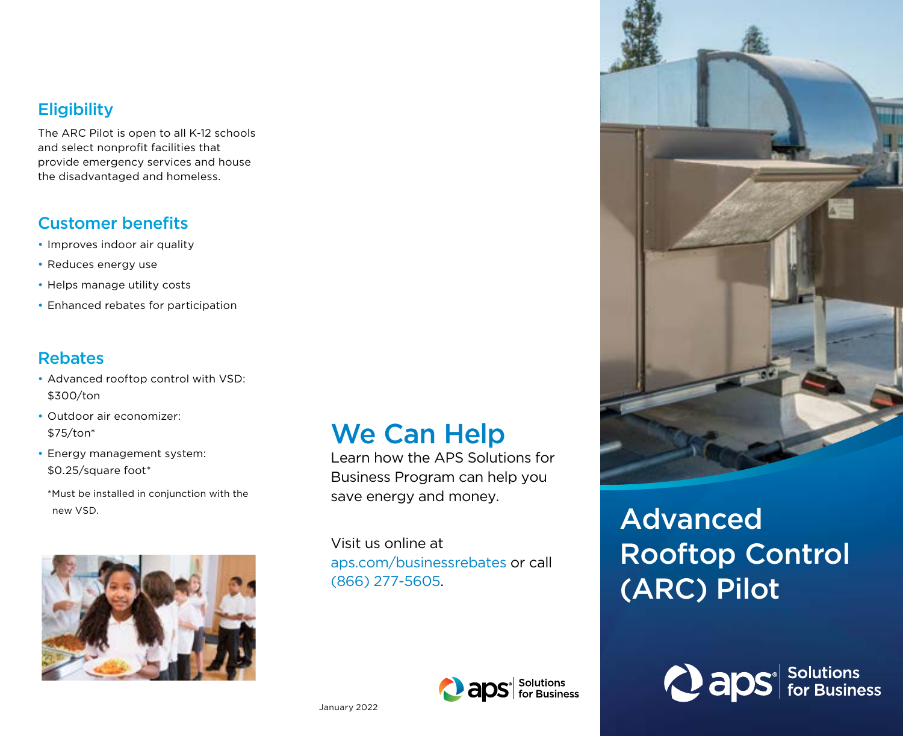# **Eligibility**

The ARC Pilot is open to all K-12 schools and select nonprofit facilities that provide emergency services and house the disadvantaged and homeless.

# Customer benefits

- Improves indoor air quality
- Reduces energy use
- Helps manage utility costs
- Enhanced rebates for participation

## Rebates

- Advanced rooftop control with VSD: \$300/ton
- Outdoor air economizer: \$75/ton\*
- Energy management system: \$0.25/square foot\*
	- \*Must be installed in conjunction with the



# We Can Help

Learn how the APS Solutions for Business Program can help you save energy and money.

Visit us online at aps.com/businessrebates or call (866) 277-5605.





# new VSD. Advanced Rooftop Control (ARC) Pilot